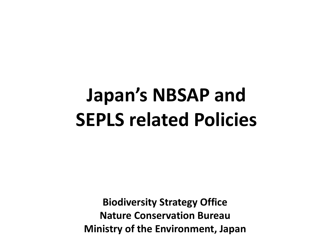# **Japan's NBSAP and SEPLS related Policies**

**Biodiversity Strategy Office Nature Conservation Bureau Ministry of the Environment, Japan**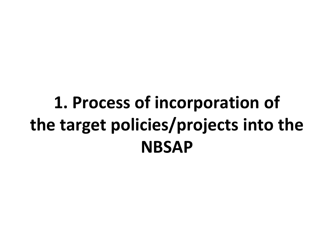# **1. Process of incorporation of the target policies/projects into the NBSAP**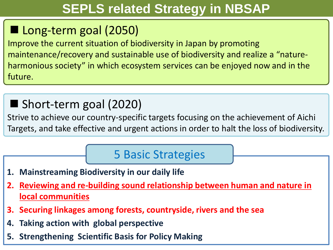## **SEPLS related Strategy in NBSAP**

# ■ Long-term goal (2050)

Improve the current situation of biodiversity in Japan by promoting maintenance/recovery and sustainable use of biodiversity and realize a "natureharmonious society" in which ecosystem services can be enjoyed now and in the future.

### ■ Short-term goal (2020)

Strive to achieve our country-specific targets focusing on the achievement of Aichi Targets, and take effective and urgent actions in order to halt the loss of biodiversity.

### 5 Basic Strategies

- **1. Mainstreaming Biodiversity in our daily life**
- **2. Reviewing and re-building sound relationship between human and nature in local communities**
- **3. Securing linkages among forests, countryside, rivers and the sea**
- **4. Taking action with global perspective**
- **5. Strengthening Scientific Basis for Policy Making**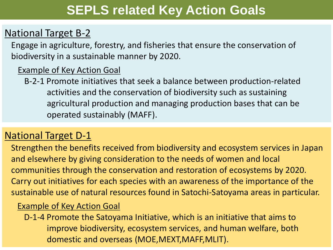### **SEPLS related Key Action Goals**

### National Target B-2

Engage in agriculture, forestry, and fisheries that ensure the conservation of biodiversity in a sustainable manner by 2020.

#### **Example of Key Action Goal**

B-2-1 Promote initiatives that seek a balance between production-related activities and the conservation of biodiversity such as sustaining agricultural production and managing production bases that can be operated sustainably (MAFF).

### National Target D-1

Strengthen the benefits received from biodiversity and ecosystem services in Japan and elsewhere by giving consideration to the needs of women and local communities through the conservation and restoration of ecosystems by 2020. Carry out initiatives for each species with an awareness of the importance of the sustainable use of natural resources found in Satochi-Satoyama areas in particular.

#### Example of Key Action Goal

D-1-4 Promote the Satoyama Initiative, which is an initiative that aims to improve biodiversity, ecosystem services, and human welfare, both domestic and overseas (MOE,MEXT,MAFF,MLIT).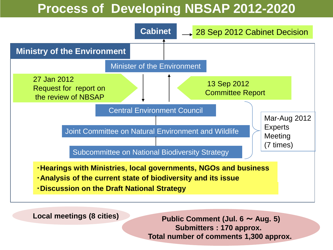### **Process of Developing NBSAP 2012-2020**



**Local meetings (8 cities)**

**Public Comment (Jul. 6** ~ **Aug. 5) Submitters : 170 approx. Total number of comments 1,300 approx.**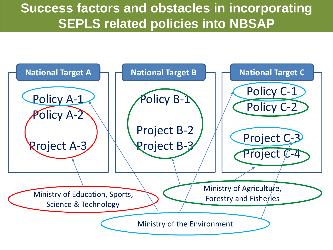### **Success factors and obstacles in incorporating SEPLS related policies into NBSAP**

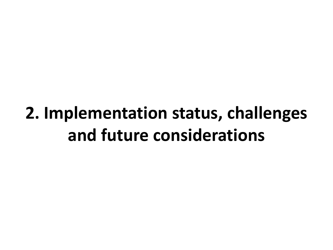# **2. Implementation status, challenges and future considerations**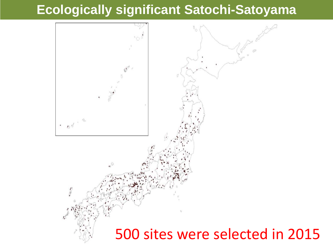### **Ecologically significant Satochi-Satoyama**

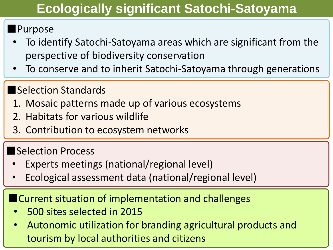## **Ecologically significant Satochi-Satoyama**

### ■Purpose

- To identify Satochi-Satoyama areas which are significant from the perspective of biodiversity conservation
- To conserve and to inherit Satochi-Satoyama through generations

### ■Selection Standards

- 1. Mosaic patterns made up of various ecosystems
- 2. Habitats for various wildlife
- 3. Contribution to ecosystem networks

### ■Selection Process

- Experts meetings (national/regional level)
- Ecological assessment data (national/regional level)

■ Current situation of implementation and challenges

- 500 sites selected in 2015
- Autonomic utilization for branding agricultural products and tourism by local authorities and citizens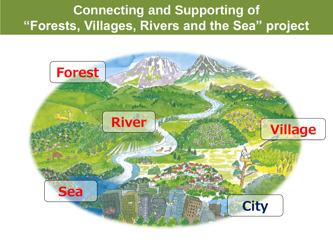### **Connecting and Supporting of "Forests, Villages, Rivers and the Sea" project**

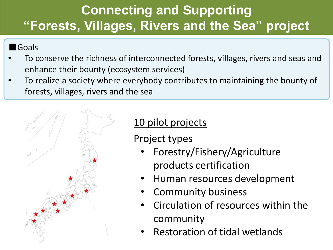# **Connecting and Supporting "Forests, Villages, Rivers and the Sea" project**

#### ■Goals

- To conserve the richness of interconnected forests, villages, rivers and seas and enhance their bounty (ecosystem services)
- To realize a society where everybody contributes to maintaining the bounty of forests, villages, rivers and the sea



### 10 pilot projects

Project types

- Forestry/Fishery/Agriculture products certification
- Human resources development
- Community business
- Circulation of resources within the community
- Restoration of tidal wetlands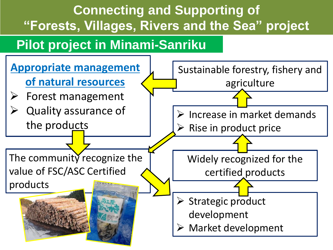# **Connecting and Supporting of "Forests, Villages, Rivers and the Sea" project**

## **Pilot project in Minami-Sanriku**

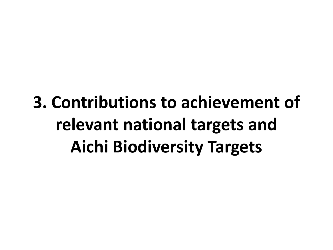# **3. Contributions to achievement of relevant national targets and Aichi Biodiversity Targets**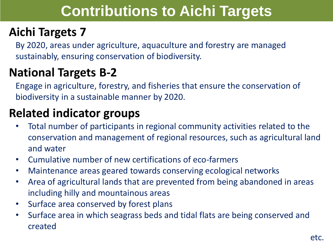# **Contributions to Aichi Targets**

### **Aichi Targets 7**

By 2020, areas under agriculture, aquaculture and forestry are managed sustainably, ensuring conservation of biodiversity.

### **National Targets B-2**

Engage in agriculture, forestry, and fisheries that ensure the conservation of biodiversity in a sustainable manner by 2020.

### **Related indicator groups**

- Total number of participants in regional community activities related to the conservation and management of regional resources, such as agricultural land and water
- Cumulative number of new certifications of eco-farmers
- Maintenance areas geared towards conserving ecological networks
- Area of agricultural lands that are prevented from being abandoned in areas including hilly and mountainous areas
- Surface area conserved by forest plans
- Surface area in which seagrass beds and tidal flats are being conserved and created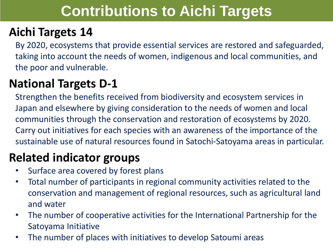# **Contributions to Aichi Targets**

### **Aichi Targets 14**

By 2020, ecosystems that provide essential services are restored and safeguarded, taking into account the needs of women, indigenous and local communities, and the poor and vulnerable.

### **National Targets D-1**

Strengthen the benefits received from biodiversity and ecosystem services in Japan and elsewhere by giving consideration to the needs of women and local communities through the conservation and restoration of ecosystems by 2020. Carry out initiatives for each species with an awareness of the importance of the sustainable use of natural resources found in Satochi-Satoyama areas in particular.

### **Related indicator groups**

- Surface area covered by forest plans
- Total number of participants in regional community activities related to the conservation and management of regional resources, such as agricultural land and water
- The number of cooperative activities for the International Partnership for the Satoyama Initiative
- The number of places with initiatives to develop Satoumi areas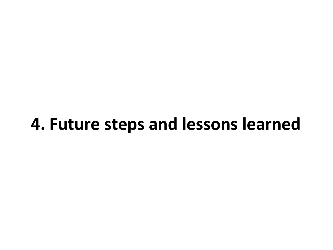# **4. Future steps and lessons learned**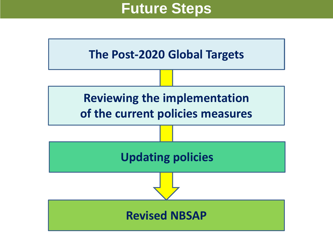### **Future Steps**